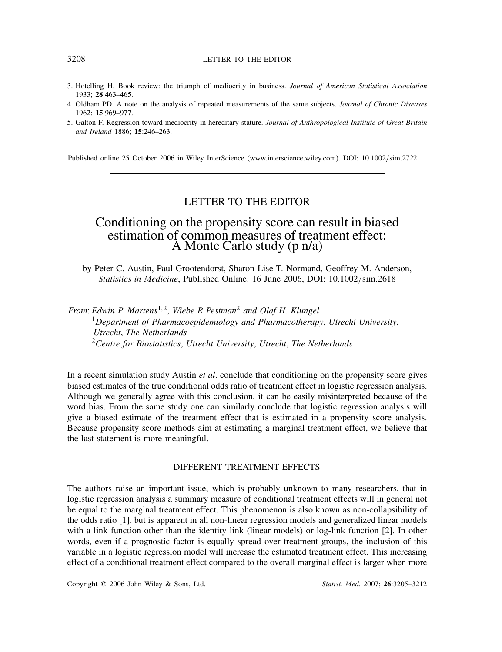#### 3208 LETTER TO THE EDITOR

- 3. Hotelling H. Book review: the triumph of mediocrity in business. *Journal of American Statistical Association* 1933; **28**:463–465.
- 4. Oldham PD. A note on the analysis of repeated measurements of the same subjects. *Journal of Chronic Diseases* 1962; **15**:969–977.
- 5. Galton F. Regression toward mediocrity in hereditary stature. *Journal of Anthropological Institute of Great Britain and Ireland* 1886; **15**:246–263.

Published online 25 October 2006 in Wiley InterScience (www.interscience.wiley.com). DOI: 10.1002*/*sim.2722

## LETTER TO THE EDITOR

## Conditioning on the propensity score can result in biased estimation of common measures of treatment effect: A Monte Carlo study (p n/a)

by Peter C. Austin, Paul Grootendorst, Sharon-Lise T. Normand, Geoffrey M. Anderson, *Statistics in Medicine*, Published Online: 16 June 2006, DOI: 10.1002*/*sim.2618

*From: Edwin P. Martens*<sup>1,2</sup>, *Wiebe R Pestman*<sup>2</sup> *and Olaf H. Klungel*<sup>1</sup> <sup>1</sup>*Department of Pharmacoepidemiology and Pharmacotherapy*, *Utrecht University*, *Utrecht*, *The Netherlands* <sup>2</sup>*Centre for Biostatistics*, *Utrecht University*, *Utrecht*, *The Netherlands*

In a recent simulation study Austin *et al*. conclude that conditioning on the propensity score gives biased estimates of the true conditional odds ratio of treatment effect in logistic regression analysis. Although we generally agree with this conclusion, it can be easily misinterpreted because of the word bias. From the same study one can similarly conclude that logistic regression analysis will give a biased estimate of the treatment effect that is estimated in a propensity score analysis. Because propensity score methods aim at estimating a marginal treatment effect, we believe that the last statement is more meaningful.

### DIFFERENT TREATMENT EFFECTS

The authors raise an important issue, which is probably unknown to many researchers, that in logistic regression analysis a summary measure of conditional treatment effects will in general not be equal to the marginal treatment effect. This phenomenon is also known as non-collapsibility of the odds ratio [1], but is apparent in all non-linear regression models and generalized linear models with a link function other than the identity link (linear models) or log-link function [2]. In other words, even if a prognostic factor is equally spread over treatment groups, the inclusion of this variable in a logistic regression model will increase the estimated treatment effect. This increasing effect of a conditional treatment effect compared to the overall marginal effect is larger when more

Copyright q 2006 John Wiley & Sons, Ltd. *Statist. Med.* 2007; **26**:3205–3212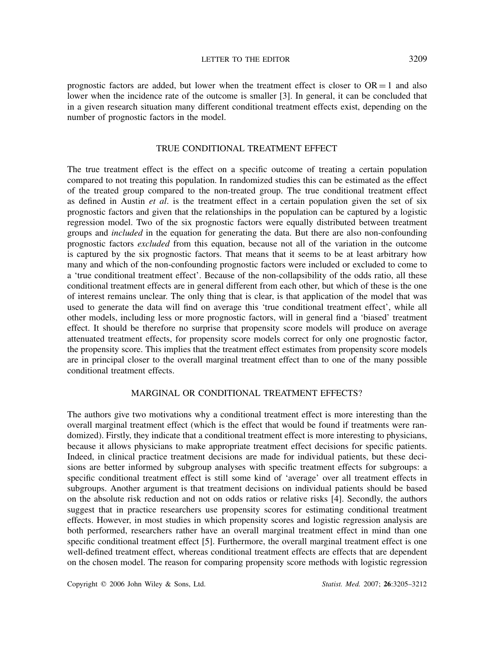prognostic factors are added, but lower when the treatment effect is closer to  $OR = 1$  and also lower when the incidence rate of the outcome is smaller [3]. In general, it can be concluded that in a given research situation many different conditional treatment effects exist, depending on the number of prognostic factors in the model.

## TRUE CONDITIONAL TREATMENT EFFECT

The true treatment effect is the effect on a specific outcome of treating a certain population compared to not treating this population. In randomized studies this can be estimated as the effect of the treated group compared to the non-treated group. The true conditional treatment effect as defined in Austin *et al*. is the treatment effect in a certain population given the set of six prognostic factors and given that the relationships in the population can be captured by a logistic regression model. Two of the six prognostic factors were equally distributed between treatment groups and *included* in the equation for generating the data. But there are also non-confounding prognostic factors *excluded* from this equation, because not all of the variation in the outcome is captured by the six prognostic factors. That means that it seems to be at least arbitrary how many and which of the non-confounding prognostic factors were included or excluded to come to a 'true conditional treatment effect'. Because of the non-collapsibility of the odds ratio, all these conditional treatment effects are in general different from each other, but which of these is the one of interest remains unclear. The only thing that is clear, is that application of the model that was used to generate the data will find on average this 'true conditional treatment effect', while all other models, including less or more prognostic factors, will in general find a 'biased' treatment effect. It should be therefore no surprise that propensity score models will produce on average attenuated treatment effects, for propensity score models correct for only one prognostic factor, the propensity score. This implies that the treatment effect estimates from propensity score models are in principal closer to the overall marginal treatment effect than to one of the many possible conditional treatment effects.

## MARGINAL OR CONDITIONAL TREATMENT EFFECTS?

The authors give two motivations why a conditional treatment effect is more interesting than the overall marginal treatment effect (which is the effect that would be found if treatments were randomized). Firstly, they indicate that a conditional treatment effect is more interesting to physicians, because it allows physicians to make appropriate treatment effect decisions for specific patients. Indeed, in clinical practice treatment decisions are made for individual patients, but these decisions are better informed by subgroup analyses with specific treatment effects for subgroups: a specific conditional treatment effect is still some kind of 'average' over all treatment effects in subgroups. Another argument is that treatment decisions on individual patients should be based on the absolute risk reduction and not on odds ratios or relative risks [4]. Secondly, the authors suggest that in practice researchers use propensity scores for estimating conditional treatment effects. However, in most studies in which propensity scores and logistic regression analysis are both performed, researchers rather have an overall marginal treatment effect in mind than one specific conditional treatment effect [5]. Furthermore, the overall marginal treatment effect is one well-defined treatment effect, whereas conditional treatment effects are effects that are dependent on the chosen model. The reason for comparing propensity score methods with logistic regression